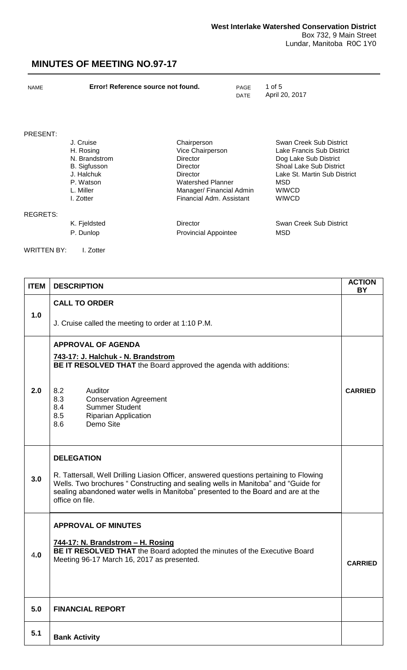| <b>NAME</b>     | Error! Reference source not found. |                             | PAGE<br><b>DATE</b> | 1 of 5<br>April 20, 2017       |
|-----------------|------------------------------------|-----------------------------|---------------------|--------------------------------|
| PRESENT:        |                                    |                             |                     |                                |
|                 | J. Cruise                          | Chairperson                 |                     | Swan Creek Sub District        |
|                 | H. Rosing                          | Vice Chairperson            |                     | Lake Francis Sub District      |
|                 | N. Brandstrom                      | Director                    |                     | Dog Lake Sub District          |
|                 | <b>B.</b> Sigfusson                | Director                    |                     | <b>Shoal Lake Sub District</b> |
|                 | J. Halchuk                         | <b>Director</b>             |                     | Lake St. Martin Sub District   |
|                 | P. Watson                          | Watershed Planner           |                     | <b>MSD</b>                     |
|                 | L. Miller                          | Manager/ Financial Admin    |                     | <b>WIWCD</b>                   |
|                 | I. Zotter                          | Financial Adm. Assistant    |                     | <b>WIWCD</b>                   |
| <b>REGRETS:</b> |                                    |                             |                     |                                |
|                 | K. Fjeldsted                       | <b>Director</b>             |                     | Swan Creek Sub District        |
|                 | P. Dunlop                          | <b>Provincial Appointee</b> |                     | <b>MSD</b>                     |
| WRITTEN BY:     | I. Zotter                          |                             |                     |                                |

| <b>ITEM</b> | <b>DESCRIPTION</b>                                                                                                                                                                                                                                                                                     | <b>ACTION</b><br>BY |
|-------------|--------------------------------------------------------------------------------------------------------------------------------------------------------------------------------------------------------------------------------------------------------------------------------------------------------|---------------------|
| 1.0         | <b>CALL TO ORDER</b><br>J. Cruise called the meeting to order at 1:10 P.M.                                                                                                                                                                                                                             |                     |
| 2.0         | <b>APPROVAL OF AGENDA</b><br>743-17: J. Halchuk - N. Brandstrom<br>BE IT RESOLVED THAT the Board approved the agenda with additions:<br>8.2<br>Auditor<br>8.3<br><b>Conservation Agreement</b><br>8.4<br><b>Summer Student</b><br>8.5<br><b>Riparian Application</b><br>8.6<br>Demo Site               | <b>CARRIED</b>      |
| 3.0         | <b>DELEGATION</b><br>R. Tattersall, Well Drilling Liasion Officer, answered questions pertaining to Flowing<br>Wells. Two brochures "Constructing and sealing wells in Manitoba" and "Guide for<br>sealing abandoned water wells in Manitoba" presented to the Board and are at the<br>office on file. |                     |
| 4.0         | <b>APPROVAL OF MINUTES</b><br>744-17: N. Brandstrom - H. Rosing<br>BE IT RESOLVED THAT the Board adopted the minutes of the Executive Board<br>Meeting 96-17 March 16, 2017 as presented.                                                                                                              | <b>CARRIED</b>      |
| 5.0         | <b>FINANCIAL REPORT</b>                                                                                                                                                                                                                                                                                |                     |
| 5.1         | <b>Bank Activity</b>                                                                                                                                                                                                                                                                                   |                     |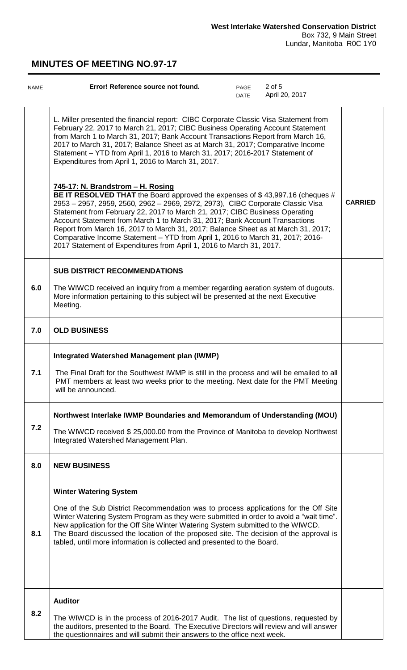| <b>NAME</b> | 2 of 5<br>Error! Reference source not found.<br>PAGE<br>April 20, 2017<br><b>DATE</b>                                                                                                                                                                                                                                                                                                                                                                                                                                                                                                                             |                |
|-------------|-------------------------------------------------------------------------------------------------------------------------------------------------------------------------------------------------------------------------------------------------------------------------------------------------------------------------------------------------------------------------------------------------------------------------------------------------------------------------------------------------------------------------------------------------------------------------------------------------------------------|----------------|
|             | L. Miller presented the financial report: CIBC Corporate Classic Visa Statement from<br>February 22, 2017 to March 21, 2017; CIBC Business Operating Account Statement<br>from March 1 to March 31, 2017; Bank Account Transactions Report from March 16,<br>2017 to March 31, 2017; Balance Sheet as at March 31, 2017; Comparative Income<br>Statement - YTD from April 1, 2016 to March 31, 2017; 2016-2017 Statement of<br>Expenditures from April 1, 2016 to March 31, 2017.                                                                                                                                 |                |
|             | 745-17: N. Brandstrom - H. Rosing<br>BE IT RESOLVED THAT the Board approved the expenses of \$43,997.16 (cheques #<br>2953 - 2957, 2959, 2560, 2962 - 2969, 2972, 2973), CIBC Corporate Classic Visa<br>Statement from February 22, 2017 to March 21, 2017; CIBC Business Operating<br>Account Statement from March 1 to March 31, 2017; Bank Account Transactions<br>Report from March 16, 2017 to March 31, 2017; Balance Sheet as at March 31, 2017;<br>Comparative Income Statement - YTD from April 1, 2016 to March 31, 2017; 2016-<br>2017 Statement of Expenditures from April 1, 2016 to March 31, 2017. | <b>CARRIED</b> |
| 6.0         | <b>SUB DISTRICT RECOMMENDATIONS</b><br>The WIWCD received an inquiry from a member regarding aeration system of dugouts.<br>More information pertaining to this subject will be presented at the next Executive<br>Meeting.                                                                                                                                                                                                                                                                                                                                                                                       |                |
| 7.0         | <b>OLD BUSINESS</b>                                                                                                                                                                                                                                                                                                                                                                                                                                                                                                                                                                                               |                |
| 7.1         | <b>Integrated Watershed Management plan (IWMP)</b><br>The Final Draft for the Southwest IWMP is still in the process and will be emailed to all<br>PMT members at least two weeks prior to the meeting. Next date for the PMT Meeting<br>will be announced.                                                                                                                                                                                                                                                                                                                                                       |                |
| 7.2         | Northwest Interlake IWMP Boundaries and Memorandum of Understanding (MOU)<br>The WIWCD received \$25,000.00 from the Province of Manitoba to develop Northwest<br>Integrated Watershed Management Plan.                                                                                                                                                                                                                                                                                                                                                                                                           |                |
| 8.0         | <b>NEW BUSINESS</b>                                                                                                                                                                                                                                                                                                                                                                                                                                                                                                                                                                                               |                |
| 8.1         | <b>Winter Watering System</b><br>One of the Sub District Recommendation was to process applications for the Off Site<br>Winter Watering System Program as they were submitted in order to avoid a "wait time".<br>New application for the Off Site Winter Watering System submitted to the WIWCD.<br>The Board discussed the location of the proposed site. The decision of the approval is<br>tabled, until more information is collected and presented to the Board.                                                                                                                                            |                |
| 8.2         | <b>Auditor</b><br>The WIWCD is in the process of 2016-2017 Audit. The list of questions, requested by<br>the auditors, presented to the Board. The Executive Directors will review and will answer<br>the questionnaires and will submit their answers to the office next week.                                                                                                                                                                                                                                                                                                                                   |                |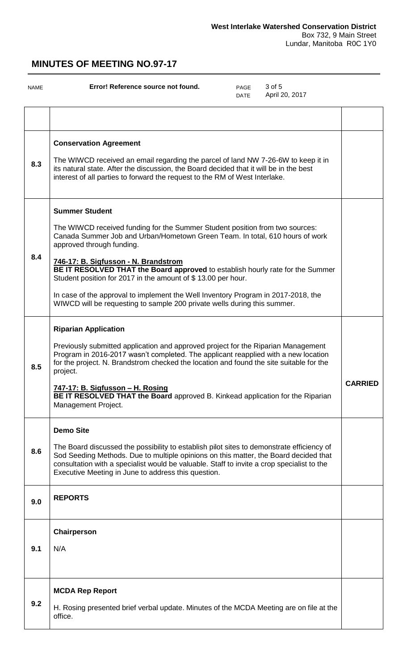| NAME | 3 of 5<br>Error! Reference source not found.<br>PAGE<br>April 20, 2017<br><b>DATE</b>                                                                                                                                                                                                                                                                                                                                                                                                                                                                                         |                |
|------|-------------------------------------------------------------------------------------------------------------------------------------------------------------------------------------------------------------------------------------------------------------------------------------------------------------------------------------------------------------------------------------------------------------------------------------------------------------------------------------------------------------------------------------------------------------------------------|----------------|
|      |                                                                                                                                                                                                                                                                                                                                                                                                                                                                                                                                                                               |                |
| 8.3  | <b>Conservation Agreement</b><br>The WIWCD received an email regarding the parcel of land NW 7-26-6W to keep it in<br>its natural state. After the discussion, the Board decided that it will be in the best<br>interest of all parties to forward the request to the RM of West Interlake.                                                                                                                                                                                                                                                                                   |                |
| 8.4  | <b>Summer Student</b><br>The WIWCD received funding for the Summer Student position from two sources:<br>Canada Summer Job and Urban/Hometown Green Team. In total, 610 hours of work<br>approved through funding.<br>746-17: B. Sigfusson - N. Brandstrom<br>BE IT RESOLVED THAT the Board approved to establish hourly rate for the Summer<br>Student position for 2017 in the amount of \$13.00 per hour.<br>In case of the approval to implement the Well Inventory Program in 2017-2018, the<br>WIWCD will be requesting to sample 200 private wells during this summer. |                |
| 8.5  | <b>Riparian Application</b><br>Previously submitted application and approved project for the Riparian Management<br>Program in 2016-2017 wasn't completed. The applicant reapplied with a new location<br>for the project. N. Brandstrom checked the location and found the site suitable for the<br>project.<br>747-17: B. Sigfusson - H. Rosing<br>BE IT RESOLVED THAT the Board approved B. Kinkead application for the Riparian<br>Management Project.                                                                                                                    | <b>CARRIED</b> |
| 8.6  | <b>Demo Site</b><br>The Board discussed the possibility to establish pilot sites to demonstrate efficiency of<br>Sod Seeding Methods. Due to multiple opinions on this matter, the Board decided that<br>consultation with a specialist would be valuable. Staff to invite a crop specialist to the<br>Executive Meeting in June to address this question.                                                                                                                                                                                                                    |                |
| 9.0  | <b>REPORTS</b>                                                                                                                                                                                                                                                                                                                                                                                                                                                                                                                                                                |                |
| 9.1  | Chairperson<br>N/A                                                                                                                                                                                                                                                                                                                                                                                                                                                                                                                                                            |                |
| 9.2  | <b>MCDA Rep Report</b><br>H. Rosing presented brief verbal update. Minutes of the MCDA Meeting are on file at the<br>office.                                                                                                                                                                                                                                                                                                                                                                                                                                                  |                |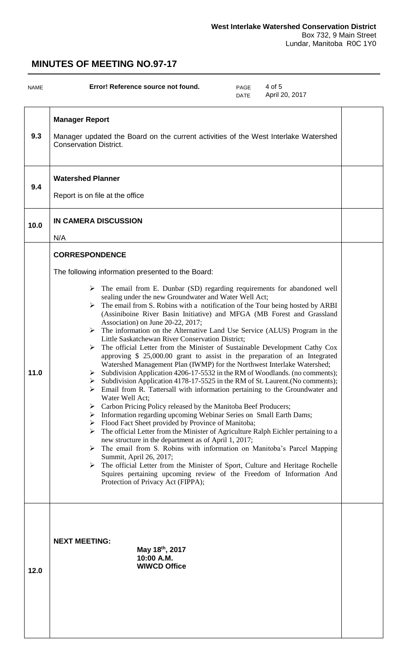| NAME | 4 of 5<br>Error! Reference source not found.<br>PAGE<br>April 20, 2017<br><b>DATE</b>                                                                                                                                                                                                                                                                                                                                                                                                                                                                                                                                                                                                                                                                                                                                                                                                                                                                                                                                                                                                                                                                                                                                                                                                                                                                                                                                                                                                                                                                                                                                                                                                                                                                                     |  |
|------|---------------------------------------------------------------------------------------------------------------------------------------------------------------------------------------------------------------------------------------------------------------------------------------------------------------------------------------------------------------------------------------------------------------------------------------------------------------------------------------------------------------------------------------------------------------------------------------------------------------------------------------------------------------------------------------------------------------------------------------------------------------------------------------------------------------------------------------------------------------------------------------------------------------------------------------------------------------------------------------------------------------------------------------------------------------------------------------------------------------------------------------------------------------------------------------------------------------------------------------------------------------------------------------------------------------------------------------------------------------------------------------------------------------------------------------------------------------------------------------------------------------------------------------------------------------------------------------------------------------------------------------------------------------------------------------------------------------------------------------------------------------------------|--|
| 9.3  | <b>Manager Report</b><br>Manager updated the Board on the current activities of the West Interlake Watershed<br><b>Conservation District.</b>                                                                                                                                                                                                                                                                                                                                                                                                                                                                                                                                                                                                                                                                                                                                                                                                                                                                                                                                                                                                                                                                                                                                                                                                                                                                                                                                                                                                                                                                                                                                                                                                                             |  |
| 9.4  | <b>Watershed Planner</b><br>Report is on file at the office                                                                                                                                                                                                                                                                                                                                                                                                                                                                                                                                                                                                                                                                                                                                                                                                                                                                                                                                                                                                                                                                                                                                                                                                                                                                                                                                                                                                                                                                                                                                                                                                                                                                                                               |  |
| 10.0 | <b>IN CAMERA DISCUSSION</b><br>N/A                                                                                                                                                                                                                                                                                                                                                                                                                                                                                                                                                                                                                                                                                                                                                                                                                                                                                                                                                                                                                                                                                                                                                                                                                                                                                                                                                                                                                                                                                                                                                                                                                                                                                                                                        |  |
| 11.0 | <b>CORRESPONDENCE</b><br>The following information presented to the Board:<br>The email from E. Dunbar (SD) regarding requirements for abandoned well<br>➤<br>sealing under the new Groundwater and Water Well Act;<br>The email from S. Robins with a notification of the Tour being hosted by ARBI<br>➤<br>(Assiniboine River Basin Initiative) and MFGA (MB Forest and Grassland<br>Association) on June 20-22, 2017;<br>$\triangleright$ The information on the Alternative Land Use Service (ALUS) Program in the<br>Little Saskatchewan River Conservation District;<br>$\triangleright$ The official Letter from the Minister of Sustainable Development Cathy Cox<br>approving \$ 25,000.00 grant to assist in the preparation of an Integrated<br>Watershed Management Plan (IWMP) for the Northwest Interlake Watershed;<br>> Subdivision Application 4206-17-5532 in the RM of Woodlands. (no comments);<br>Subdivision Application 4178-17-5525 in the RM of St. Laurent. (No comments);<br>Email from R. Tattersall with information pertaining to the Groundwater and<br>Water Well Act;<br>Carbon Pricing Policy released by the Manitoba Beef Producers;<br>➤<br>> Information regarding upcoming Webinar Series on Small Earth Dams;<br>> Flood Fact Sheet provided by Province of Manitoba;<br>The official Letter from the Minister of Agriculture Ralph Eichler pertaining to a<br>➤<br>new structure in the department as of April 1, 2017;<br>The email from S. Robins with information on Manitoba's Parcel Mapping<br>➤<br>Summit, April 26, 2017;<br>The official Letter from the Minister of Sport, Culture and Heritage Rochelle<br>Squires pertaining upcoming review of the Freedom of Information And<br>Protection of Privacy Act (FIPPA); |  |
| 12.0 | <b>NEXT MEETING:</b><br>May 18th, 2017<br>10:00 A.M.<br><b>WIWCD Office</b>                                                                                                                                                                                                                                                                                                                                                                                                                                                                                                                                                                                                                                                                                                                                                                                                                                                                                                                                                                                                                                                                                                                                                                                                                                                                                                                                                                                                                                                                                                                                                                                                                                                                                               |  |